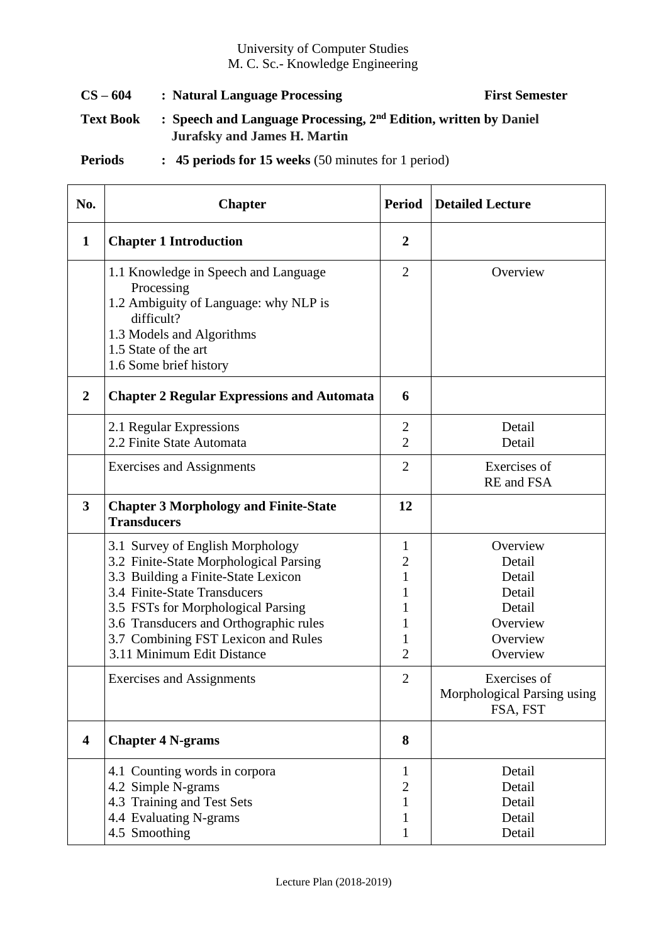## University of Computer Studies M. C. Sc.- Knowledge Engineering

CS – 604 **:** Natural Language Processing First Semester **Text Book : Speech and Language Processing, 2nd Edition, written by Daniel Jurafsky and James H. Martin** 

**Periods : 45 periods for 15 weeks** (50 minutes for 1 period)

| No.            | <b>Chapter</b>                                                                                                                                                                                                                                                                                         | <b>Period</b>                                                             | <b>Detailed Lecture</b>                                                              |
|----------------|--------------------------------------------------------------------------------------------------------------------------------------------------------------------------------------------------------------------------------------------------------------------------------------------------------|---------------------------------------------------------------------------|--------------------------------------------------------------------------------------|
| $\mathbf 1$    | <b>Chapter 1 Introduction</b>                                                                                                                                                                                                                                                                          | $\boldsymbol{2}$                                                          |                                                                                      |
|                | 1.1 Knowledge in Speech and Language<br>Processing<br>1.2 Ambiguity of Language: why NLP is<br>difficult?<br>1.3 Models and Algorithms<br>1.5 State of the art<br>1.6 Some brief history                                                                                                               | $\overline{2}$                                                            | Overview                                                                             |
| $\overline{2}$ | <b>Chapter 2 Regular Expressions and Automata</b>                                                                                                                                                                                                                                                      | 6                                                                         |                                                                                      |
|                | 2.1 Regular Expressions<br>2.2 Finite State Automata                                                                                                                                                                                                                                                   | 2<br>$\overline{2}$                                                       | Detail<br>Detail                                                                     |
|                | <b>Exercises and Assignments</b>                                                                                                                                                                                                                                                                       | $\overline{2}$                                                            | Exercises of<br>RE and FSA                                                           |
| 3              | <b>Chapter 3 Morphology and Finite-State</b><br><b>Transducers</b>                                                                                                                                                                                                                                     | 12                                                                        |                                                                                      |
|                | 3.1 Survey of English Morphology<br>3.2 Finite-State Morphological Parsing<br>3.3 Building a Finite-State Lexicon<br>3.4 Finite-State Transducers<br>3.5 FSTs for Morphological Parsing<br>3.6 Transducers and Orthographic rules<br>3.7 Combining FST Lexicon and Rules<br>3.11 Minimum Edit Distance | 1<br>$\overline{c}$<br>$\mathbf{1}$<br>1<br>1<br>1<br>1<br>$\overline{2}$ | Overview<br>Detail<br>Detail<br>Detail<br>Detail<br>Overview<br>Overview<br>Overview |
|                | <b>Exercises and Assignments</b>                                                                                                                                                                                                                                                                       | $\overline{2}$                                                            | Exercises of<br>Morphological Parsing using<br>FSA, FST                              |
| 4              | <b>Chapter 4 N-grams</b>                                                                                                                                                                                                                                                                               | 8                                                                         |                                                                                      |
|                | 4.1 Counting words in corpora<br>4.2 Simple N-grams<br>4.3 Training and Test Sets<br>4.4 Evaluating N-grams<br>4.5 Smoothing                                                                                                                                                                           | 1<br>$\overline{2}$<br>1<br>1<br>1                                        | Detail<br>Detail<br>Detail<br>Detail<br>Detail                                       |